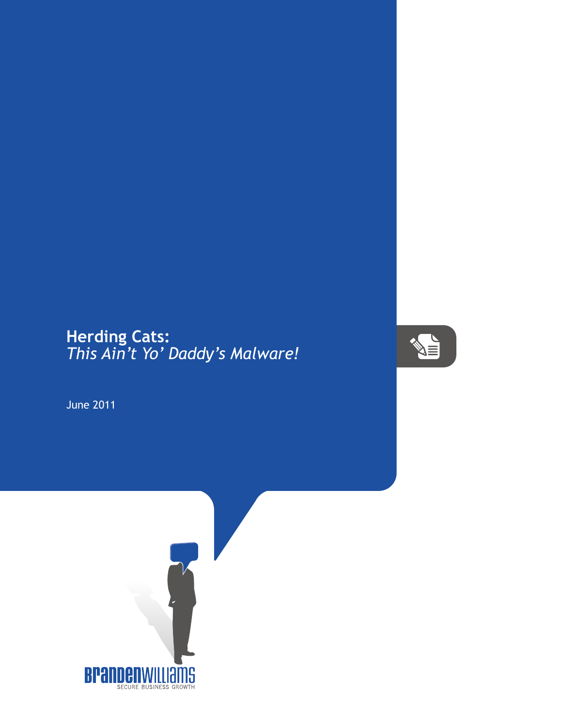## **Herding Cats:** *This Ain't Yo' Daddy's Malware!*



June 2011

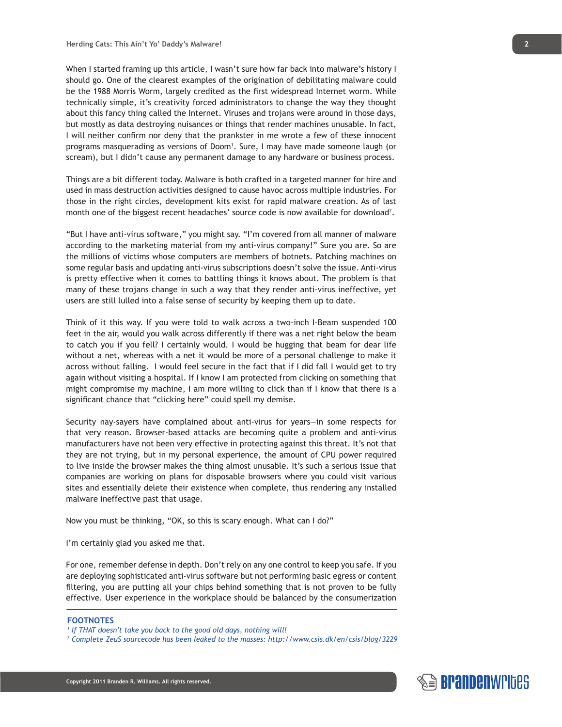When I started framing up this article, I wasn't sure how far back into malware's history I should go. One of the clearest examples of the origination of debilitating malware could be the 1988 Morris Worm, largely credited as the first widespread Internet worm. While technically simple, it's creativity forced administrators to change the way they thought about this fancy thing called the Internet. Viruses and trojans were around in those days, but mostly as data destroying nuisances or things that render machines unusable. In fact, I will neither confirm nor deny that the prankster in me wrote a few of these innocent programs masquerading as versions of Doom<sup>1</sup>. Sure, I may have made someone laugh (or scream), but I didn't cause any permanent damage to any hardware or business process.

Things are a bit different today. Malware is both crafted in a targeted manner for hire and used in mass destruction activities designed to cause havoc across multiple industries. For those in the right circles, development kits exist for rapid malware creation. As of last month one of the biggest recent headaches' source code is now available for download<sup>2</sup>.

"But I have anti-virus software," you might say. "I'm covered from all manner of malware according to the marketing material from my anti-virus company!" Sure you are. So are the millions of victims whose computers are members of botnets. Patching machines on some regular basis and updating anti-virus subscriptions doesn't solve the issue. Anti-virus is pretty effective when it comes to battling things it knows about. The problem is that many of these trojans change in such a way that they render anti-virus ineffective, yet users are still lulled into a false sense of security by keeping them up to date.

Think of it this way. If you were told to walk across a two-inch I-Beam suspended 100 feet in the air, would you walk across differently if there was a net right below the beam to catch you if you fell? I certainly would. I would be hugging that beam for dear life without a net, whereas with a net it would be more of a personal challenge to make it across without falling. I would feel secure in the fact that if I did fall I would get to try again without visiting a hospital. If I know I am protected from clicking on something that might compromise my machine, I am more willing to click than if I know that there is a significant chance that "clicking here" could spell my demise.

Security nay-sayers have complained about anti-virus for years—in some respects for that very reason. Browser-based attacks are becoming quite a problem and anti-virus manufacturers have not been very effective in protecting against this threat. It's not that they are not trying, but in my personal experience, the amount of CPU power required to live inside the browser makes the thing almost unusable. It's such a serious issue that companies are working on plans for disposable browsers where you could visit various sites and essentially delete their existence when complete, thus rendering any installed malware ineffective past that usage.

Now you must be thinking, "OK, so this is scary enough. What can I do?"

I'm certainly glad you asked me that.

For one, remember defense in depth. Don't rely on any one control to keep you safe. If you are deploying sophisticated anti-virus software but not performing basic egress or content filtering, you are putting all your chips behind something that is not proven to be fully effective. User experience in the workplace should be balanced by the consumerization

## **FOOTNOTES**



*<sup>1</sup> If THAT doesn't take you back to the good old days, nothing will!*

*<sup>2</sup> Complete ZeuS sourcecode has been leaked to the masses: http://www.csis.dk/en/csis/blog/3229*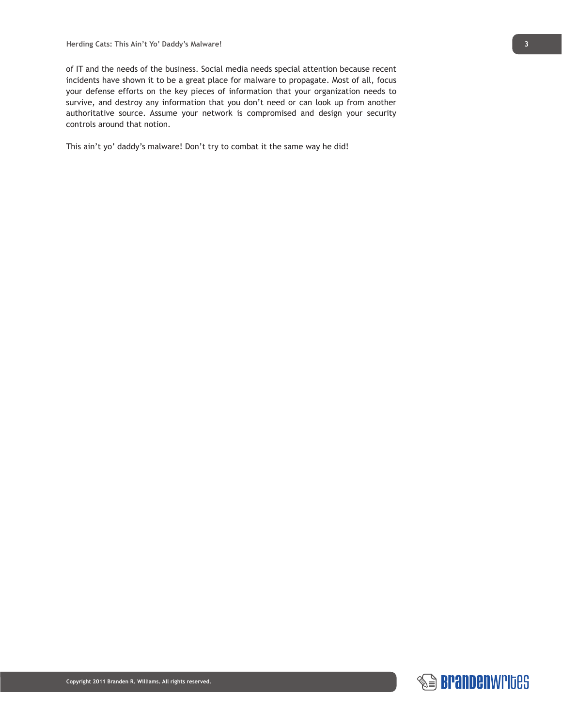of IT and the needs of the business. Social media needs special attention because recent incidents have shown it to be a great place for malware to propagate. Most of all, focus your defense efforts on the key pieces of information that your organization needs to survive, and destroy any information that you don't need or can look up from another authoritative source. Assume your network is compromised and design your security controls around that notion.

This ain't yo' daddy's malware! Don't try to combat it the same way he did!